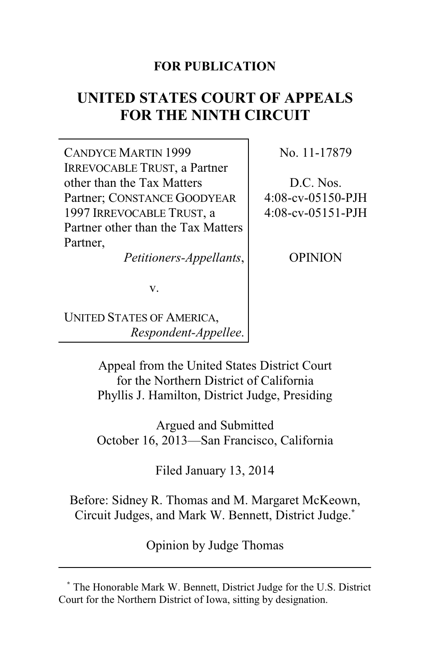### **FOR PUBLICATION**

# **UNITED STATES COURT OF APPEALS FOR THE NINTH CIRCUIT**

CANDYCE MARTIN 1999 IRREVOCABLE TRUST, a Partner other than the Tax Matters Partner; CONSTANCE GOODYEAR 1997 IRREVOCABLE TRUST, a Partner other than the Tax Matters Partner,

*Petitioners-Appellants*,

No. 11-17879

D.C. Nos. 4:08-cv-05150-PJH 4:08-cv-05151-PJH

OPINION

v.

UNITED STATES OF AMERICA, *Respondent-Appellee*.

> Appeal from the United States District Court for the Northern District of California Phyllis J. Hamilton, District Judge, Presiding

> Argued and Submitted October 16, 2013—San Francisco, California

> > Filed January 13, 2014

Before: Sidney R. Thomas and M. Margaret McKeown, Circuit Judges, and Mark W. Bennett, District Judge.**\***

Opinion by Judge Thomas

**<sup>\*</sup>** The Honorable Mark W. Bennett, District Judge for the U.S. District Court for the Northern District of Iowa, sitting by designation.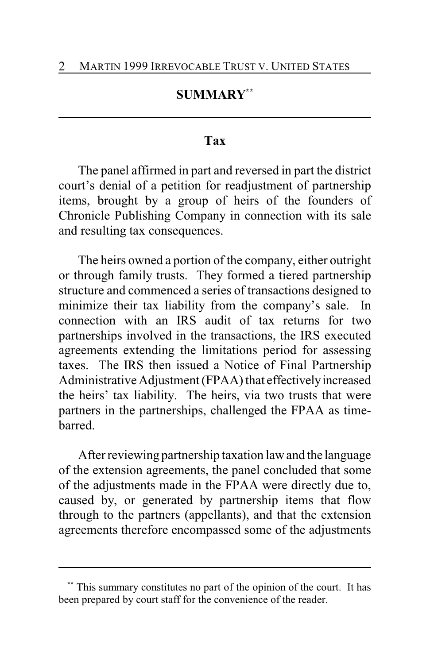### **SUMMARY\*\***

#### **Tax**

The panel affirmed in part and reversed in part the district court's denial of a petition for readjustment of partnership items, brought by a group of heirs of the founders of Chronicle Publishing Company in connection with its sale and resulting tax consequences.

The heirs owned a portion of the company, either outright or through family trusts. They formed a tiered partnership structure and commenced a series of transactions designed to minimize their tax liability from the company's sale. In connection with an IRS audit of tax returns for two partnerships involved in the transactions, the IRS executed agreements extending the limitations period for assessing taxes. The IRS then issued a Notice of Final Partnership Administrative Adjustment (FPAA) that effectively increased the heirs' tax liability. The heirs, via two trusts that were partners in the partnerships, challenged the FPAA as timebarred.

After reviewing partnership taxation law and the language of the extension agreements, the panel concluded that some of the adjustments made in the FPAA were directly due to, caused by, or generated by partnership items that flow through to the partners (appellants), and that the extension agreements therefore encompassed some of the adjustments

This summary constitutes no part of the opinion of the court. It has been prepared by court staff for the convenience of the reader.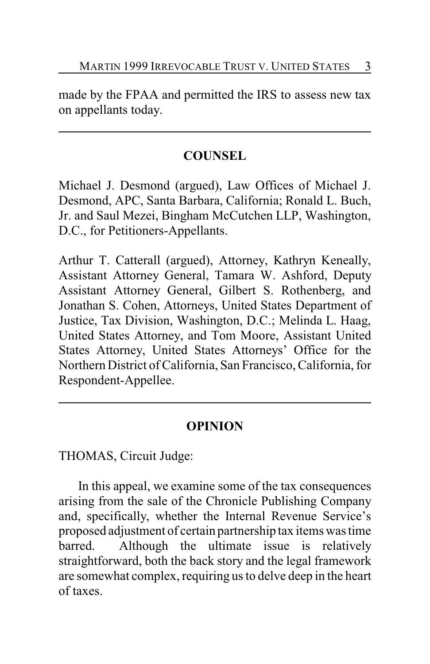made by the FPAA and permitted the IRS to assess new tax on appellants today.

## **COUNSEL**

Michael J. Desmond (argued), Law Offices of Michael J. Desmond, APC, Santa Barbara, California; Ronald L. Buch, Jr. and Saul Mezei, Bingham McCutchen LLP, Washington, D.C., for Petitioners-Appellants.

Arthur T. Catterall (argued), Attorney, Kathryn Keneally, Assistant Attorney General, Tamara W. Ashford, Deputy Assistant Attorney General, Gilbert S. Rothenberg, and Jonathan S. Cohen, Attorneys, United States Department of Justice, Tax Division, Washington, D.C.; Melinda L. Haag, United States Attorney, and Tom Moore, Assistant United States Attorney, United States Attorneys' Office for the Northern District of California, San Francisco, California, for Respondent-Appellee.

# **OPINION**

THOMAS, Circuit Judge:

In this appeal, we examine some of the tax consequences arising from the sale of the Chronicle Publishing Company and, specifically, whether the Internal Revenue Service's proposed adjustment of certain partnership tax items was time barred. Although the ultimate issue is relatively straightforward, both the back story and the legal framework are somewhat complex, requiring us to delve deep in the heart of taxes.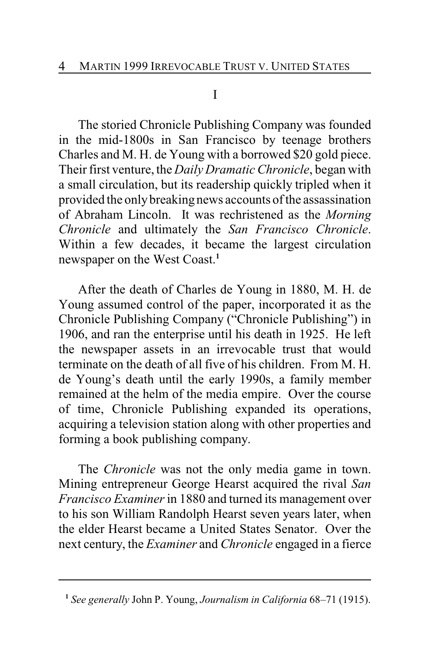#### I

The storied Chronicle Publishing Company was founded in the mid-1800s in San Francisco by teenage brothers Charles and M. H. de Young with a borrowed \$20 gold piece. Their first venture, the *Daily Dramatic Chronicle*, began with a small circulation, but its readership quickly tripled when it provided the onlybreaking news accounts of the assassination of Abraham Lincoln. It was rechristened as the *Morning Chronicle* and ultimately the *San Francisco Chronicle*. Within a few decades, it became the largest circulation newspaper on the West Coast.**<sup>1</sup>**

After the death of Charles de Young in 1880, M. H. de Young assumed control of the paper, incorporated it as the Chronicle Publishing Company ("Chronicle Publishing") in 1906, and ran the enterprise until his death in 1925. He left the newspaper assets in an irrevocable trust that would terminate on the death of all five of his children. From M. H. de Young's death until the early 1990s, a family member remained at the helm of the media empire. Over the course of time, Chronicle Publishing expanded its operations, acquiring a television station along with other properties and forming a book publishing company.

The *Chronicle* was not the only media game in town. Mining entrepreneur George Hearst acquired the rival *San Francisco Examiner* in 1880 and turned its management over to his son William Randolph Hearst seven years later, when the elder Hearst became a United States Senator. Over the next century, the *Examiner* and *Chronicle* engaged in a fierce

**<sup>1</sup>** *See generally* John P. Young, *Journalism in California* 68–71 (1915).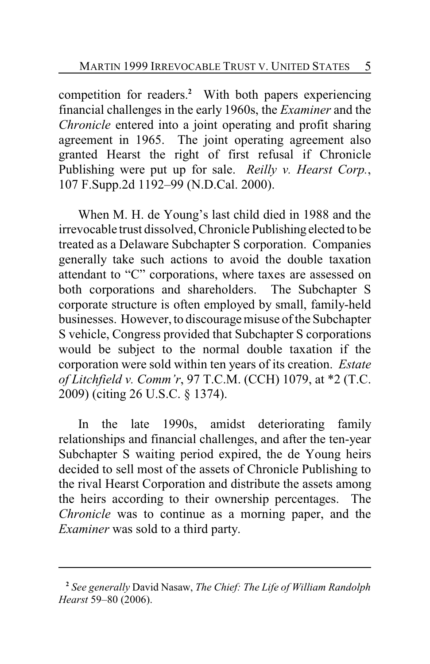competition for readers.**<sup>2</sup>** With both papers experiencing financial challenges in the early 1960s, the *Examiner* and the *Chronicle* entered into a joint operating and profit sharing agreement in 1965. The joint operating agreement also granted Hearst the right of first refusal if Chronicle Publishing were put up for sale. *Reilly v. Hearst Corp.*, 107 F.Supp.2d 1192–99 (N.D.Cal. 2000).

When M. H. de Young's last child died in 1988 and the irrevocable trust dissolved, Chronicle Publishing elected to be treated as a Delaware Subchapter S corporation. Companies generally take such actions to avoid the double taxation attendant to "C" corporations, where taxes are assessed on both corporations and shareholders. The Subchapter S corporate structure is often employed by small, family-held businesses. However, to discourage misuse of the Subchapter S vehicle, Congress provided that Subchapter S corporations would be subject to the normal double taxation if the corporation were sold within ten years of its creation. *Estate of Litchfield v. Comm'r*, 97 T.C.M. (CCH) 1079, at \*2 (T.C. 2009) (citing 26 U.S.C. § 1374).

In the late 1990s, amidst deteriorating family relationships and financial challenges, and after the ten-year Subchapter S waiting period expired, the de Young heirs decided to sell most of the assets of Chronicle Publishing to the rival Hearst Corporation and distribute the assets among the heirs according to their ownership percentages. The *Chronicle* was to continue as a morning paper, and the *Examiner* was sold to a third party.

**<sup>2</sup>** *See generally* David Nasaw, *The Chief: The Life of William Randolph Hearst* 59–80 (2006).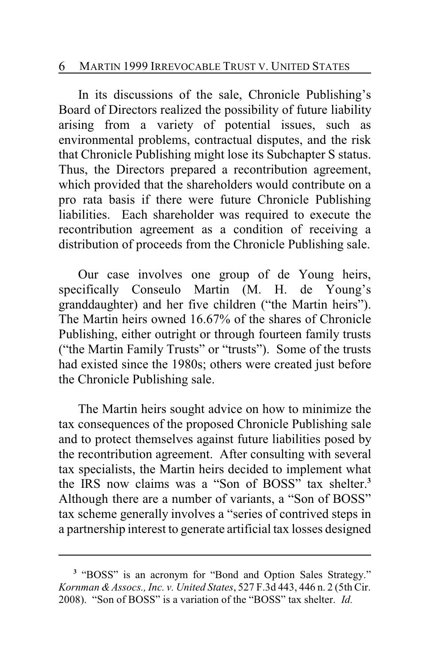#### 6 MARTIN 1999 IRREVOCABLE TRUST V. UNITED STATES

In its discussions of the sale, Chronicle Publishing's Board of Directors realized the possibility of future liability arising from a variety of potential issues, such as environmental problems, contractual disputes, and the risk that Chronicle Publishing might lose its Subchapter S status. Thus, the Directors prepared a recontribution agreement, which provided that the shareholders would contribute on a pro rata basis if there were future Chronicle Publishing liabilities. Each shareholder was required to execute the recontribution agreement as a condition of receiving a distribution of proceeds from the Chronicle Publishing sale.

Our case involves one group of de Young heirs, specifically Conseulo Martin (M. H. de Young's granddaughter) and her five children ("the Martin heirs"). The Martin heirs owned 16.67% of the shares of Chronicle Publishing, either outright or through fourteen family trusts ("the Martin Family Trusts" or "trusts"). Some of the trusts had existed since the 1980s; others were created just before the Chronicle Publishing sale.

The Martin heirs sought advice on how to minimize the tax consequences of the proposed Chronicle Publishing sale and to protect themselves against future liabilities posed by the recontribution agreement. After consulting with several tax specialists, the Martin heirs decided to implement what the IRS now claims was a "Son of BOSS" tax shelter.**<sup>3</sup>** Although there are a number of variants, a "Son of BOSS" tax scheme generally involves a "series of contrived steps in a partnership interest to generate artificial tax losses designed

<sup>&</sup>lt;sup>3</sup> "BOSS" is an acronym for "Bond and Option Sales Strategy." *Kornman &Assocs., Inc. v. United States*, 527 F.3d 443, 446 n. 2 (5th Cir. 2008). "Son of BOSS" is a variation of the "BOSS" tax shelter. *Id.*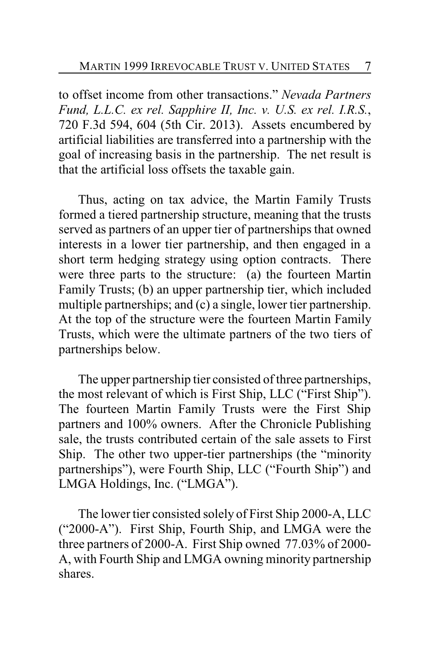to offset income from other transactions." *Nevada Partners Fund, L.L.C. ex rel. Sapphire II, Inc. v. U.S. ex rel. I.R.S.*, 720 F.3d 594, 604 (5th Cir. 2013). Assets encumbered by artificial liabilities are transferred into a partnership with the goal of increasing basis in the partnership. The net result is that the artificial loss offsets the taxable gain.

Thus, acting on tax advice, the Martin Family Trusts formed a tiered partnership structure, meaning that the trusts served as partners of an upper tier of partnerships that owned interests in a lower tier partnership, and then engaged in a short term hedging strategy using option contracts. There were three parts to the structure: (a) the fourteen Martin Family Trusts; (b) an upper partnership tier, which included multiple partnerships; and (c) a single, lower tier partnership. At the top of the structure were the fourteen Martin Family Trusts, which were the ultimate partners of the two tiers of partnerships below.

The upper partnership tier consisted of three partnerships, the most relevant of which is First Ship, LLC ("First Ship"). The fourteen Martin Family Trusts were the First Ship partners and 100% owners. After the Chronicle Publishing sale, the trusts contributed certain of the sale assets to First Ship. The other two upper-tier partnerships (the "minority partnerships"), were Fourth Ship, LLC ("Fourth Ship") and LMGA Holdings, Inc. ("LMGA").

The lower tier consisted solely of First Ship 2000-A, LLC ("2000-A"). First Ship, Fourth Ship, and LMGA were the three partners of 2000-A. First Ship owned 77.03% of 2000- A, with Fourth Ship and LMGA owning minority partnership shares.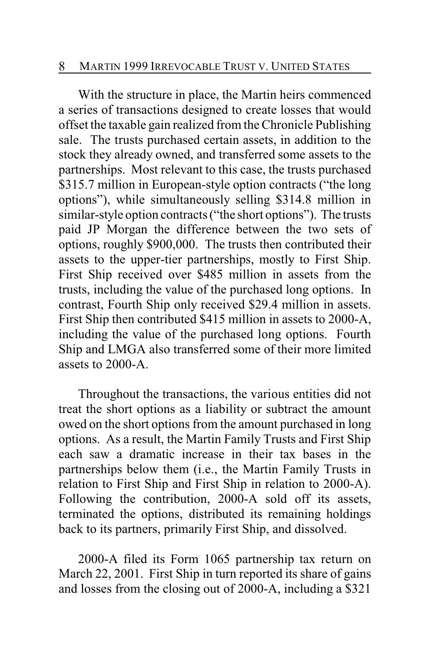With the structure in place, the Martin heirs commenced a series of transactions designed to create losses that would offset the taxable gain realized from the Chronicle Publishing sale. The trusts purchased certain assets, in addition to the stock they already owned, and transferred some assets to the partnerships. Most relevant to this case, the trusts purchased \$315.7 million in European-style option contracts ("the long" options"), while simultaneously selling \$314.8 million in similar-style option contracts ("the short options"). The trusts paid JP Morgan the difference between the two sets of options, roughly \$900,000. The trusts then contributed their assets to the upper-tier partnerships, mostly to First Ship. First Ship received over \$485 million in assets from the trusts, including the value of the purchased long options. In contrast, Fourth Ship only received \$29.4 million in assets. First Ship then contributed \$415 million in assets to 2000-A, including the value of the purchased long options. Fourth Ship and LMGA also transferred some of their more limited assets to 2000-A.

Throughout the transactions, the various entities did not treat the short options as a liability or subtract the amount owed on the short options from the amount purchased in long options. As a result, the Martin Family Trusts and First Ship each saw a dramatic increase in their tax bases in the partnerships below them (i.e., the Martin Family Trusts in relation to First Ship and First Ship in relation to 2000-A). Following the contribution, 2000-A sold off its assets, terminated the options, distributed its remaining holdings back to its partners, primarily First Ship, and dissolved.

2000-A filed its Form 1065 partnership tax return on March 22, 2001. First Ship in turn reported its share of gains and losses from the closing out of 2000-A, including a \$321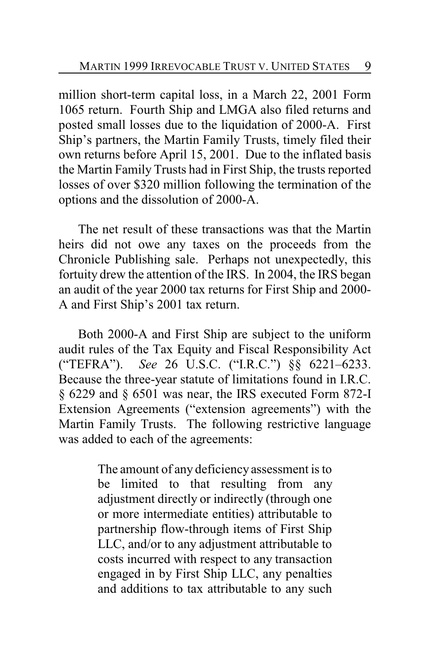million short-term capital loss, in a March 22, 2001 Form 1065 return. Fourth Ship and LMGA also filed returns and posted small losses due to the liquidation of 2000-A. First Ship's partners, the Martin Family Trusts, timely filed their own returns before April 15, 2001. Due to the inflated basis the Martin Family Trusts had in First Ship, the trusts reported losses of over \$320 million following the termination of the options and the dissolution of 2000-A.

The net result of these transactions was that the Martin heirs did not owe any taxes on the proceeds from the Chronicle Publishing sale. Perhaps not unexpectedly, this fortuity drew the attention of the IRS. In 2004, the IRS began an audit of the year 2000 tax returns for First Ship and 2000- A and First Ship's 2001 tax return.

Both 2000-A and First Ship are subject to the uniform audit rules of the Tax Equity and Fiscal Responsibility Act ("TEFRA"). *See* 26 U.S.C. ("I.R.C.") §§ 6221–6233. Because the three-year statute of limitations found in I.R.C. § 6229 and § 6501 was near, the IRS executed Form 872-I Extension Agreements ("extension agreements") with the Martin Family Trusts. The following restrictive language was added to each of the agreements:

> The amount of any deficiencyassessment is to be limited to that resulting from any adjustment directly or indirectly (through one or more intermediate entities) attributable to partnership flow-through items of First Ship LLC, and/or to any adjustment attributable to costs incurred with respect to any transaction engaged in by First Ship LLC, any penalties and additions to tax attributable to any such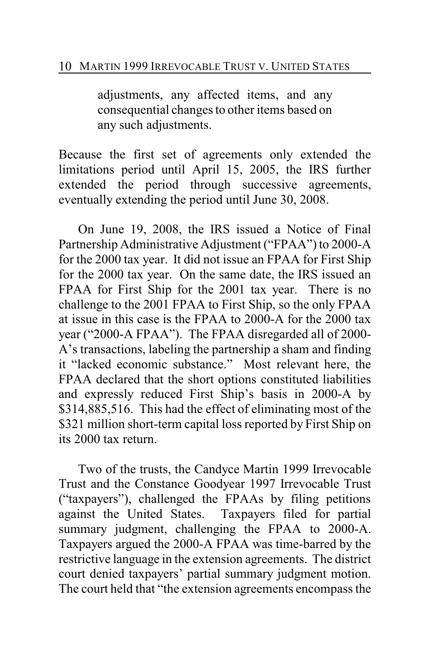adjustments, any affected items, and any consequential changes to other items based on any such adjustments.

Because the first set of agreements only extended the limitations period until April 15, 2005, the IRS further extended the period through successive agreements, eventually extending the period until June 30, 2008.

On June 19, 2008, the IRS issued a Notice of Final Partnership Administrative Adjustment ("FPAA") to 2000-A for the 2000 tax year. It did not issue an FPAA for First Ship for the 2000 tax year. On the same date, the IRS issued an FPAA for First Ship for the 2001 tax year. There is no challenge to the 2001 FPAA to First Ship, so the only FPAA at issue in this case is the FPAA to 2000-A for the 2000 tax year ("2000-A FPAA"). The FPAA disregarded all of 2000- A's transactions, labeling the partnership a sham and finding it "lacked economic substance." Most relevant here, the FPAA declared that the short options constituted liabilities and expressly reduced First Ship's basis in 2000-A by \$314,885,516. This had the effect of eliminating most of the \$321 million short-term capital loss reported by First Ship on its 2000 tax return.

Two of the trusts, the Candyce Martin 1999 Irrevocable Trust and the Constance Goodyear 1997 Irrevocable Trust ("taxpayers"), challenged the FPAAs by filing petitions against the United States. Taxpayers filed for partial summary judgment, challenging the FPAA to 2000-A. Taxpayers argued the 2000-A FPAA was time-barred by the restrictive language in the extension agreements. The district court denied taxpayers' partial summary judgment motion. The court held that "the extension agreements encompass the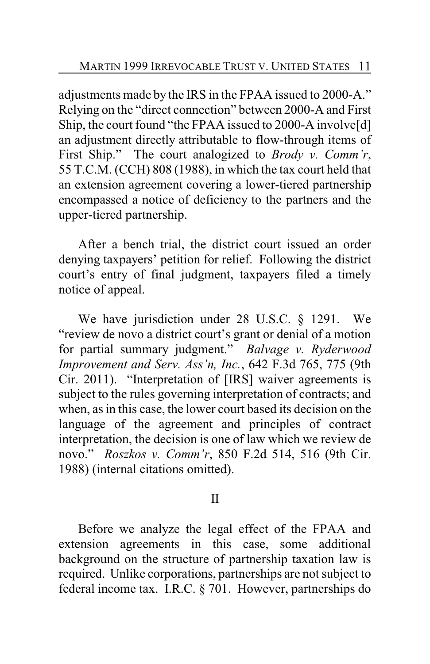adjustments made by the IRS in the FPAA issued to 2000-A." Relying on the "direct connection" between 2000-A and First Ship, the court found "the FPAA issued to 2000-A involve[d] an adjustment directly attributable to flow-through items of First Ship." The court analogized to *Brody v. Comm'r*, 55 T.C.M. (CCH) 808 (1988), in which the tax court held that an extension agreement covering a lower-tiered partnership encompassed a notice of deficiency to the partners and the upper-tiered partnership.

After a bench trial, the district court issued an order denying taxpayers' petition for relief. Following the district court's entry of final judgment, taxpayers filed a timely notice of appeal.

We have jurisdiction under 28 U.S.C. § 1291. We "review de novo a district court's grant or denial of a motion for partial summary judgment." *Balvage v. Ryderwood Improvement and Serv. Ass'n, Inc.*, 642 F.3d 765, 775 (9th Cir. 2011). "Interpretation of [IRS] waiver agreements is subject to the rules governing interpretation of contracts; and when, as in this case, the lower court based its decision on the language of the agreement and principles of contract interpretation, the decision is one of law which we review de novo." *Roszkos v. Comm'r*, 850 F.2d 514, 516 (9th Cir. 1988) (internal citations omitted).

### II

Before we analyze the legal effect of the FPAA and extension agreements in this case, some additional background on the structure of partnership taxation law is required. Unlike corporations, partnerships are not subject to federal income tax. I.R.C. § 701. However, partnerships do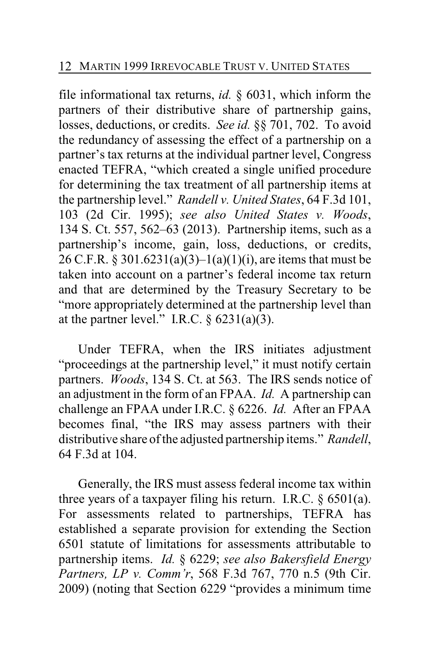file informational tax returns, *id.* § 6031, which inform the partners of their distributive share of partnership gains, losses, deductions, or credits. *See id.* §§ 701, 702. To avoid the redundancy of assessing the effect of a partnership on a partner's tax returns at the individual partner level, Congress enacted TEFRA, "which created a single unified procedure for determining the tax treatment of all partnership items at the partnership level." *Randell v. United States*, 64 F.3d 101, 103 (2d Cir. 1995); *see also United States v. Woods*, 134 S. Ct. 557, 562–63 (2013). Partnership items, such as a partnership's income, gain, loss, deductions, or credits, 26 C.F.R. § 301.6231(a)(3)–1(a)(1)(i), are items that must be taken into account on a partner's federal income tax return and that are determined by the Treasury Secretary to be "more appropriately determined at the partnership level than at the partner level." I.R.C.  $\S$  6231(a)(3).

Under TEFRA, when the IRS initiates adjustment "proceedings at the partnership level," it must notify certain partners. *Woods*, 134 S. Ct. at 563. The IRS sends notice of an adjustment in the form of an FPAA. *Id.* A partnership can challenge an FPAA under I.R.C. § 6226. *Id.* After an FPAA becomes final, "the IRS may assess partners with their distributive share of the adjusted partnership items." *Randell*, 64 F.3d at 104.

Generally, the IRS must assess federal income tax within three years of a taxpayer filing his return. I.R.C.  $\S$  6501(a). For assessments related to partnerships, TEFRA has established a separate provision for extending the Section 6501 statute of limitations for assessments attributable to partnership items. *Id.* § 6229; *see also Bakersfield Energy Partners, LP v. Comm'r*, 568 F.3d 767, 770 n.5 (9th Cir. 2009) (noting that Section 6229 "provides a minimum time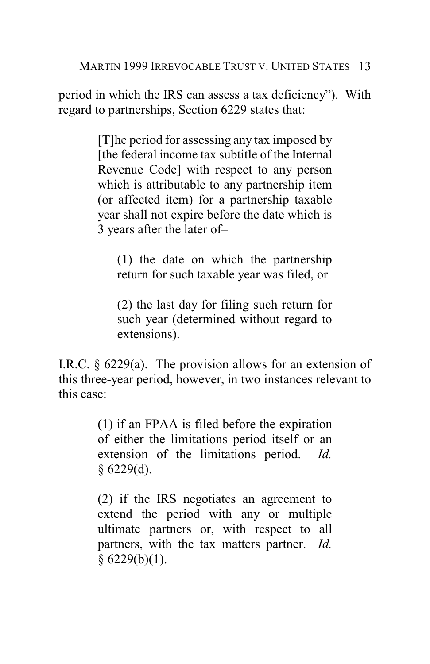period in which the IRS can assess a tax deficiency"). With regard to partnerships, Section 6229 states that:

> [T]he period for assessing any tax imposed by [the federal income tax subtitle of the Internal Revenue Code] with respect to any person which is attributable to any partnership item (or affected item) for a partnership taxable year shall not expire before the date which is 3 years after the later of–

(1) the date on which the partnership return for such taxable year was filed, or

(2) the last day for filing such return for such year (determined without regard to extensions).

I.R.C. § 6229(a). The provision allows for an extension of this three-year period, however, in two instances relevant to this case:

> (1) if an FPAA is filed before the expiration of either the limitations period itself or an extension of the limitations period. *Id.*  $§ 6229(d).$

> (2) if the IRS negotiates an agreement to extend the period with any or multiple ultimate partners or, with respect to all partners, with the tax matters partner. *Id.*  $§ 6229(b)(1).$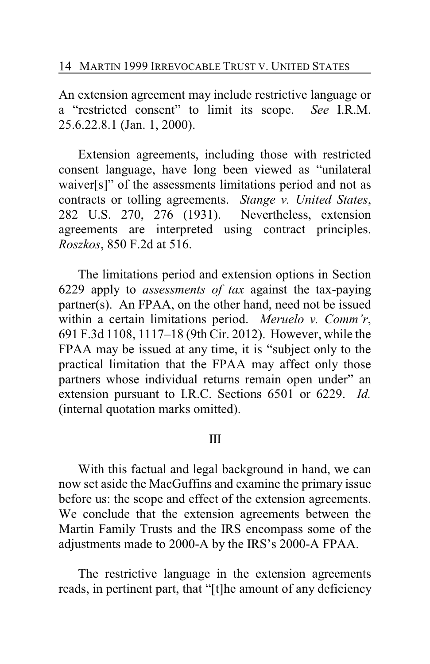An extension agreement may include restrictive language or a "restricted consent" to limit its scope. *See* I.R.M. 25.6.22.8.1 (Jan. 1, 2000).

Extension agreements, including those with restricted consent language, have long been viewed as "unilateral waiver[s]" of the assessments limitations period and not as contracts or tolling agreements. *Stange v. United States*, 282 U.S. 270, 276 (1931). Nevertheless, extension agreements are interpreted using contract principles. *Roszkos*, 850 F.2d at 516.

The limitations period and extension options in Section 6229 apply to *assessments of tax* against the tax-paying partner(s). An FPAA, on the other hand, need not be issued within a certain limitations period. *Meruelo v. Comm'r*, 691 F.3d 1108, 1117–18 (9th Cir. 2012). However, while the FPAA may be issued at any time, it is "subject only to the practical limitation that the FPAA may affect only those partners whose individual returns remain open under" an extension pursuant to I.R.C. Sections 6501 or 6229. *Id.* (internal quotation marks omitted).

#### III

With this factual and legal background in hand, we can now set aside the MacGuffins and examine the primary issue before us: the scope and effect of the extension agreements. We conclude that the extension agreements between the Martin Family Trusts and the IRS encompass some of the adjustments made to 2000-A by the IRS's 2000-A FPAA.

The restrictive language in the extension agreements reads, in pertinent part, that "[t]he amount of any deficiency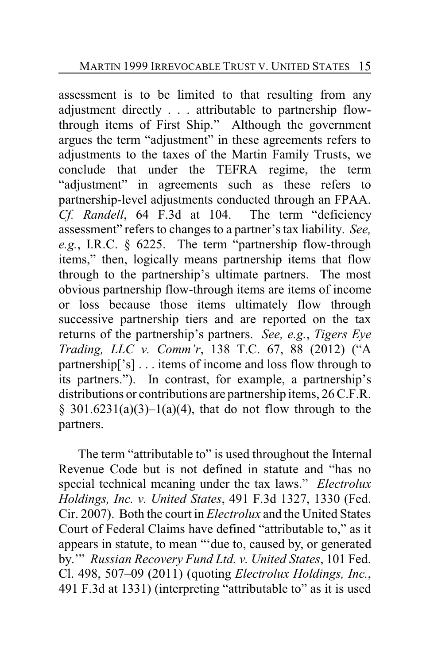assessment is to be limited to that resulting from any adjustment directly . . . attributable to partnership flowthrough items of First Ship." Although the government argues the term "adjustment" in these agreements refers to adjustments to the taxes of the Martin Family Trusts, we conclude that under the TEFRA regime, the term "adjustment" in agreements such as these refers to partnership-level adjustments conducted through an FPAA. *Cf. Randell*, 64 F.3d at 104. The term "deficiency assessment" refers to changes to a partner's tax liability. *See, e.g.*, I.R.C. § 6225. The term "partnership flow-through items," then, logically means partnership items that flow through to the partnership's ultimate partners. The most obvious partnership flow-through items are items of income or loss because those items ultimately flow through successive partnership tiers and are reported on the tax returns of the partnership's partners. *See, e.g.*, *Tigers Eye Trading, LLC v. Comm'r*, 138 T.C. 67, 88 (2012) ("A partnership['s] . . . items of income and loss flow through to its partners."). In contrast, for example, a partnership's distributions or contributions are partnership items, 26 C.F.R. § 301.6231(a)(3)–1(a)(4), that do not flow through to the partners.

The term "attributable to" is used throughout the Internal Revenue Code but is not defined in statute and "has no special technical meaning under the tax laws." *Electrolux Holdings, Inc. v. United States*, 491 F.3d 1327, 1330 (Fed. Cir. 2007). Both the court in *Electrolux* and the United States Court of Federal Claims have defined "attributable to," as it appears in statute, to mean "'due to, caused by, or generated by.'" *Russian Recovery Fund Ltd. v. United States*, 101 Fed. Cl. 498, 507–09 (2011) (quoting *Electrolux Holdings, Inc.*, 491 F.3d at 1331) (interpreting "attributable to" as it is used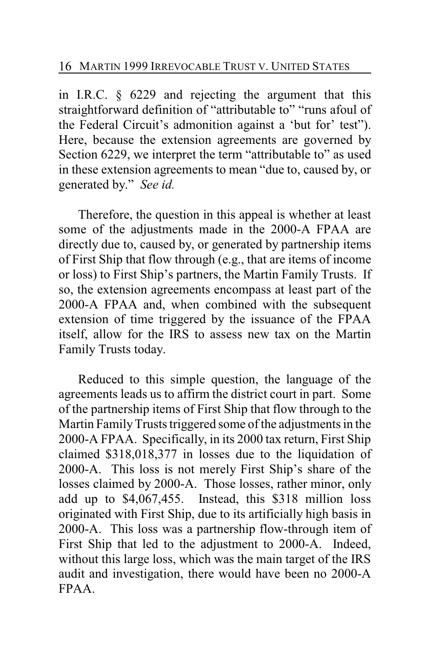in I.R.C. § 6229 and rejecting the argument that this straightforward definition of "attributable to" "runs afoul of the Federal Circuit's admonition against a 'but for' test"). Here, because the extension agreements are governed by Section 6229, we interpret the term "attributable to" as used in these extension agreements to mean "due to, caused by, or generated by." *See id.*

Therefore, the question in this appeal is whether at least some of the adjustments made in the 2000-A FPAA are directly due to, caused by, or generated by partnership items of First Ship that flow through (e.g., that are items of income or loss) to First Ship's partners, the Martin Family Trusts. If so, the extension agreements encompass at least part of the 2000-A FPAA and, when combined with the subsequent extension of time triggered by the issuance of the FPAA itself, allow for the IRS to assess new tax on the Martin Family Trusts today.

Reduced to this simple question, the language of the agreements leads us to affirm the district court in part. Some of the partnership items of First Ship that flow through to the Martin FamilyTrusts triggered some of the adjustments in the 2000-A FPAA. Specifically, in its 2000 tax return, First Ship claimed \$318,018,377 in losses due to the liquidation of 2000-A. This loss is not merely First Ship's share of the losses claimed by 2000-A. Those losses, rather minor, only add up to \$4,067,455. Instead, this \$318 million loss originated with First Ship, due to its artificially high basis in 2000-A. This loss was a partnership flow-through item of First Ship that led to the adjustment to 2000-A. Indeed, without this large loss, which was the main target of the IRS audit and investigation, there would have been no 2000-A FPAA.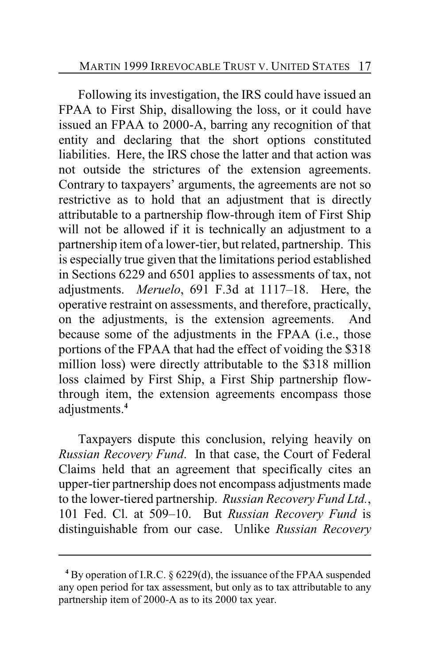Following its investigation, the IRS could have issued an FPAA to First Ship, disallowing the loss, or it could have issued an FPAA to 2000-A, barring any recognition of that entity and declaring that the short options constituted liabilities. Here, the IRS chose the latter and that action was not outside the strictures of the extension agreements. Contrary to taxpayers' arguments, the agreements are not so restrictive as to hold that an adjustment that is directly attributable to a partnership flow-through item of First Ship will not be allowed if it is technically an adjustment to a partnership item of a lower-tier, but related, partnership. This is especially true given that the limitations period established in Sections 6229 and 6501 applies to assessments of tax, not adjustments. *Meruelo*, 691 F.3d at 1117–18. Here, the operative restraint on assessments, and therefore, practically, on the adjustments, is the extension agreements. And because some of the adjustments in the FPAA (i.e., those portions of the FPAA that had the effect of voiding the \$318 million loss) were directly attributable to the \$318 million loss claimed by First Ship, a First Ship partnership flowthrough item, the extension agreements encompass those adjustments.**<sup>4</sup>**

Taxpayers dispute this conclusion, relying heavily on *Russian Recovery Fund*. In that case, the Court of Federal Claims held that an agreement that specifically cites an upper-tier partnership does not encompass adjustments made to the lower-tiered partnership. *Russian Recovery Fund Ltd.*, 101 Fed. Cl. at 509–10. But *Russian Recovery Fund* is distinguishable from our case. Unlike *Russian Recovery*

**<sup>4</sup>** By operation of I.R.C. § 6229(d), the issuance of the FPAA suspended any open period for tax assessment, but only as to tax attributable to any partnership item of 2000-A as to its 2000 tax year.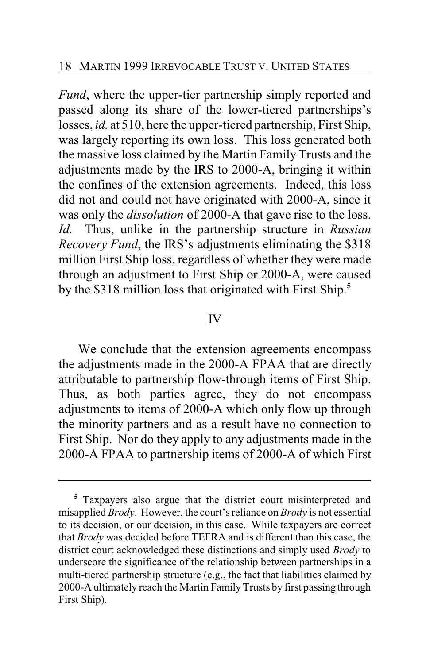*Fund*, where the upper-tier partnership simply reported and passed along its share of the lower-tiered partnerships's losses, *id.* at 510, here the upper-tiered partnership, First Ship, was largely reporting its own loss. This loss generated both the massive loss claimed by the Martin Family Trusts and the adjustments made by the IRS to 2000-A, bringing it within the confines of the extension agreements. Indeed, this loss did not and could not have originated with 2000-A, since it was only the *dissolution* of 2000-A that gave rise to the loss. *Id.* Thus, unlike in the partnership structure in *Russian Recovery Fund*, the IRS's adjustments eliminating the \$318 million First Ship loss, regardless of whether they were made through an adjustment to First Ship or 2000-A, were caused by the \$318 million loss that originated with First Ship.**<sup>5</sup>**

#### IV

We conclude that the extension agreements encompass the adjustments made in the 2000-A FPAA that are directly attributable to partnership flow-through items of First Ship. Thus, as both parties agree, they do not encompass adjustments to items of 2000-A which only flow up through the minority partners and as a result have no connection to First Ship. Nor do they apply to any adjustments made in the 2000-A FPAA to partnership items of 2000-A of which First

**<sup>5</sup>** Taxpayers also argue that the district court misinterpreted and misapplied *Brody*. However, the court's reliance on *Brody* is not essential to its decision, or our decision, in this case. While taxpayers are correct that *Brody* was decided before TEFRA and is different than this case, the district court acknowledged these distinctions and simply used *Brody* to underscore the significance of the relationship between partnerships in a multi-tiered partnership structure (e.g., the fact that liabilities claimed by 2000-A ultimately reach the Martin Family Trusts by first passing through First Ship).